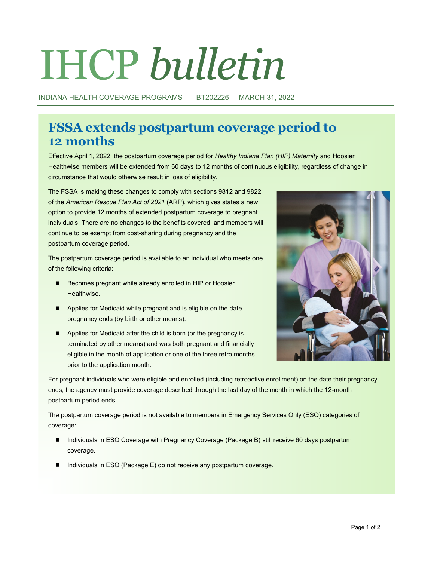# IHCP *bulletin*

INDIANA HEALTH COVERAGE PROGRAMS BT202226 MARCH 31, 2022

# **FSSA extends postpartum coverage period to 12 months**

Effective April 1, 2022, the postpartum coverage period for *Healthy Indiana Plan (HIP) Maternity* and Hoosier Healthwise members will be extended from 60 days to 12 months of continuous eligibility, regardless of change in circumstance that would otherwise result in loss of eligibility.

The FSSA is making these changes to comply with sections 9812 and 9822 of the *American Rescue Plan Act of 2021* (ARP), which gives states a new option to provide 12 months of extended postpartum coverage to pregnant individuals. There are no changes to the benefits covered, and members will continue to be exempt from cost-sharing during pregnancy and the postpartum coverage period.

The postpartum coverage period is available to an individual who meets one of the following criteria:

- Becomes pregnant while already enrolled in HIP or Hoosier Healthwise.
- Applies for Medicaid while pregnant and is eligible on the date pregnancy ends (by birth or other means).
- Applies for Medicaid after the child is born (or the pregnancy is terminated by other means) and was both pregnant and financially eligible in the month of application or one of the three retro months prior to the application month.



For pregnant individuals who were eligible and enrolled (including retroactive enrollment) on the date their pregnancy ends, the agency must provide coverage described through the last day of the month in which the 12-month postpartum period ends.

The postpartum coverage period is not available to members in Emergency Services Only (ESO) categories of coverage:

- Individuals in ESO Coverage with Pregnancy Coverage (Package B) still receive 60 days postpartum coverage.
- Individuals in ESO (Package E) do not receive any postpartum coverage.